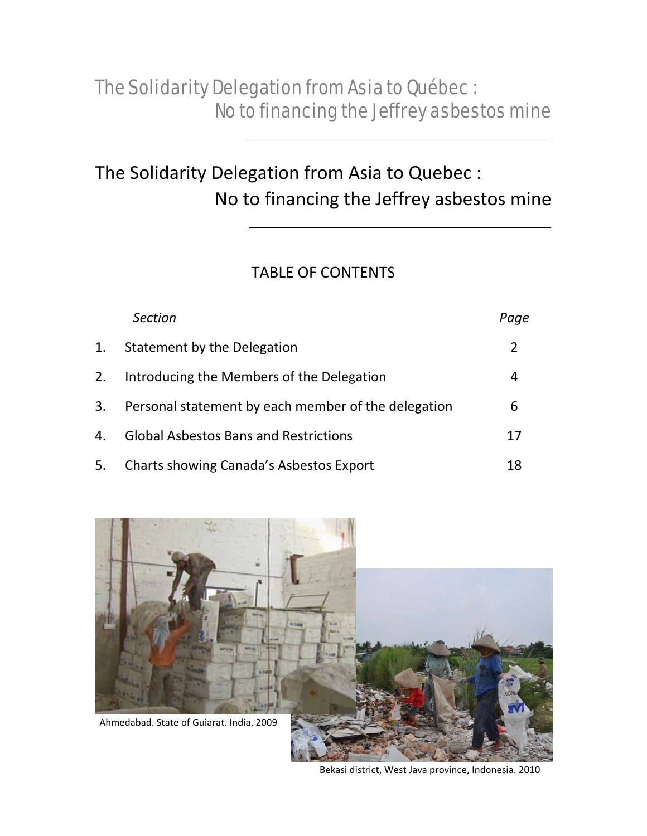# The Solidarity Delegation from Asia to Quebec : No to financing the Jeffrey asbestos mine

### TABLE OF CONTENTS

|    | <b>Section</b>                                      | Paqe |
|----|-----------------------------------------------------|------|
| 1. | Statement by the Delegation                         | 2    |
| 2. | Introducing the Members of the Delegation           | 4    |
| 3. | Personal statement by each member of the delegation | 6    |
| 4. | <b>Global Asbestos Bans and Restrictions</b>        | 17   |
| 5. | Charts showing Canada's Asbestos Export             | 18   |



Bekasi district, West Java province, Indonesia. 2010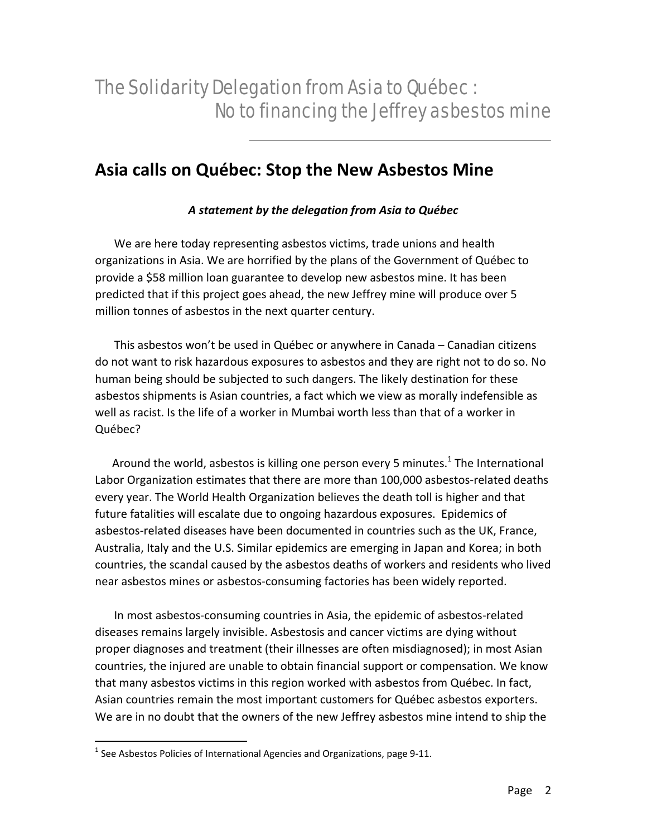## **Asia calls on Québec: Stop the New Asbestos Mine**

### *A statement by the delegation from Asia to Québec*

We are here today representing asbestos victims, trade unions and health organizations in Asia. We are horrified by the plans of the Government of Québec to provide a \$58 million loan guarantee to develop new asbestos mine. It has been predicted that if this project goes ahead, the new Jeffrey mine will produce over 5 million tonnes of asbestos in the next quarter century.

This asbestos won't be used in Québec or anywhere in Canada – Canadian citizens do not want to risk hazardous exposures to asbestos and they are right not to do so. No human being should be subjected to such dangers. The likely destination for these asbestos shipments is Asian countries, a fact which we view as morally indefensible as well as racist. Is the life of a worker in Mumbai worth less than that of a worker in Québec?

Around the world, asbestos is killing one person every 5 minutes.<sup>1</sup> The International Labor Organization estimates that there are more than 100,000 asbestos-related deaths every year. The World Health Organization believes the death toll is higher and that future fatalities will escalate due to ongoing hazardous exposures. Epidemics of asbestos‐related diseases have been documented in countries such as the UK, France, Australia, Italy and the U.S. Similar epidemics are emerging in Japan and Korea; in both countries, the scandal caused by the asbestos deaths of workers and residents who lived near asbestos mines or asbestos‐consuming factories has been widely reported.

In most asbestos‐consuming countries in Asia, the epidemic of asbestos‐related diseases remains largely invisible. Asbestosis and cancer victims are dying without proper diagnoses and treatment (their illnesses are often misdiagnosed); in most Asian countries, the injured are unable to obtain financial support or compensation. We know that many asbestos victims in this region worked with asbestos from Québec. In fact, Asian countries remain the most important customers for Québec asbestos exporters. We are in no doubt that the owners of the new Jeffrey asbestos mine intend to ship the

 $\overline{a}$ 

<sup>&</sup>lt;sup>1</sup> See Asbestos Policies of International Agencies and Organizations, page 9-11.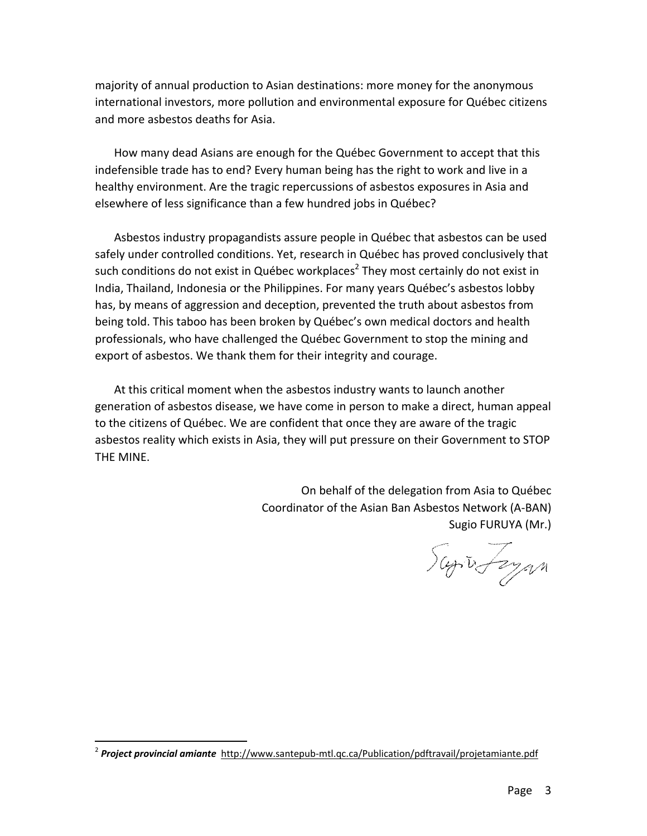majority of annual production to Asian destinations: more money for the anonymous international investors, more pollution and environmental exposure for Québec citizens and more asbestos deaths for Asia.

How many dead Asians are enough for the Québec Government to accept that this indefensible trade has to end? Every human being has the right to work and live in a healthy environment. Are the tragic repercussions of asbestos exposures in Asia and elsewhere of less significance than a few hundred jobs in Québec?

Asbestos industry propagandists assure people in Québec that asbestos can be used safely under controlled conditions. Yet, research in Québec has proved conclusively that such conditions do not exist in Québec workplaces<sup>2</sup> They most certainly do not exist in India, Thailand, Indonesia or the Philippines. For many years Québec's asbestos lobby has, by means of aggression and deception, prevented the truth about asbestos from being told. This taboo has been broken by Québec's own medical doctors and health professionals, who have challenged the Québec Government to stop the mining and export of asbestos. We thank them for their integrity and courage.

At this critical moment when the asbestos industry wants to launch another generation of asbestos disease, we have come in person to make a direct, human appeal to the citizens of Québec. We are confident that once they are aware of the tragic asbestos reality which exists in Asia, they will put pressure on their Government to STOP THE MINE.

> On behalf of the delegation from Asia to Québec Coordinator of the Asian Ban Asbestos Network (A‐BAN) Sugio FURUYA (Mr.)

Superfeyan

 $\overline{a}$ 

<sup>2</sup> *Project provincial amiante* http://www.santepub‐mtl.qc.ca/Publication/pdftravail/projetamiante.pdf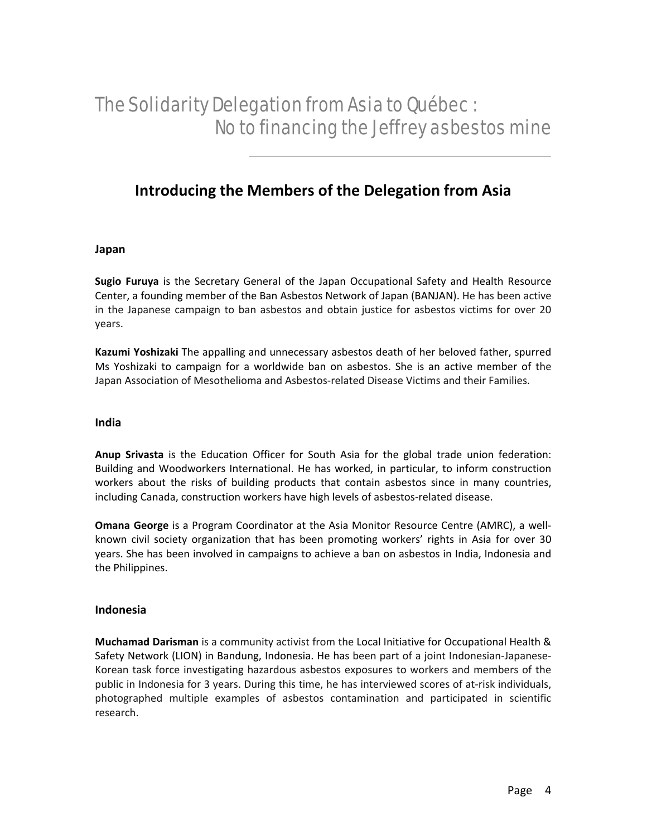### **Introducing the Members of the Delegation from Asia**

#### **Japan**

**Sugio Furuya** is the Secretary General of the Japan Occupational Safety and Health Resource Center, a founding member of the Ban Asbestos Network of Japan (BANJAN). He has been active in the Japanese campaign to ban asbestos and obtain justice for asbestos victims for over 20 years.

**Kazumi Yoshizaki** The appalling and unnecessary asbestos death of her beloved father, spurred Ms Yoshizaki to campaign for a worldwide ban on asbestos. She is an active member of the Japan Association of Mesothelioma and Asbestos‐related Disease Victims and their Families.

#### **India**

**Anup Srivasta** is the Education Officer for South Asia for the global trade union federation: Building and Woodworkers International. He has worked, in particular, to inform construction workers about the risks of building products that contain asbestos since in many countries, including Canada, construction workers have high levels of asbestos‐related disease.

**Omana George** is a Program Coordinator at the Asia Monitor Resource Centre (AMRC), a well‐ known civil society organization that has been promoting workers' rights in Asia for over 30 years. She has been involved in campaigns to achieve a ban on asbestos in India, Indonesia and the Philippines.

#### **Indonesia**

**Muchamad Darisman** is a community activist from the Local Initiative for Occupational Health & Safety Network (LION) in Bandung, Indonesia. He has been part of a joint Indonesian‐Japanese‐ Korean task force investigating hazardous asbestos exposures to workers and members of the public in Indonesia for 3 years. During this time, he has interviewed scores of at‐risk individuals, photographed multiple examples of asbestos contamination and participated in scientific research.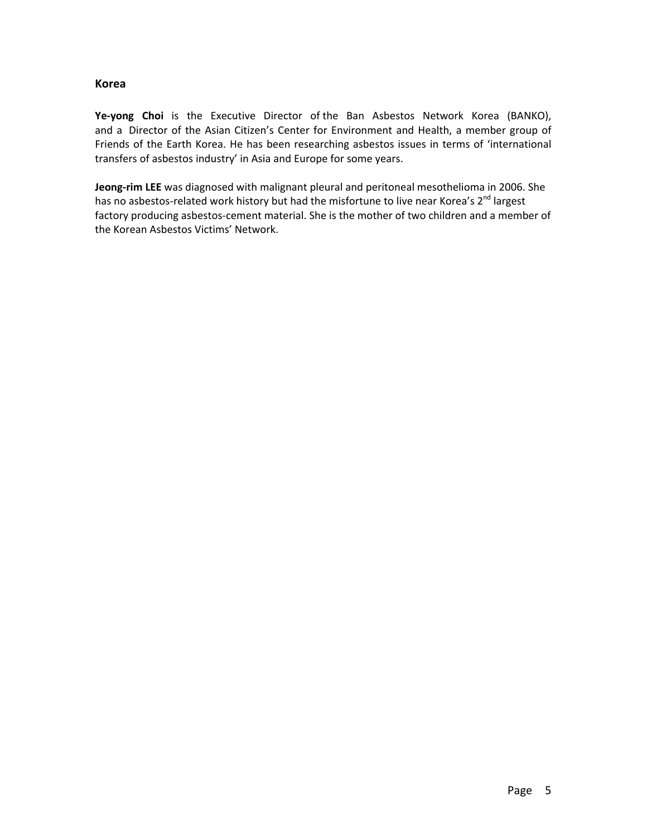#### **Korea**

**Ye‐yong Choi** is the Executive Director of the Ban Asbestos Network Korea (BANKO), and a Director of the Asian Citizen's Center for Environment and Health, a member group of Friends of the Earth Korea. He has been researching asbestos issues in terms of 'international transfers of asbestos industry' in Asia and Europe for some years.

**Jeong‐rim LEE** was diagnosed with malignant pleural and peritoneal mesothelioma in 2006. She has no asbestos-related work history but had the misfortune to live near Korea's 2<sup>nd</sup> largest factory producing asbestos‐cement material. She is the mother of two children and a member of the Korean Asbestos Victims' Network.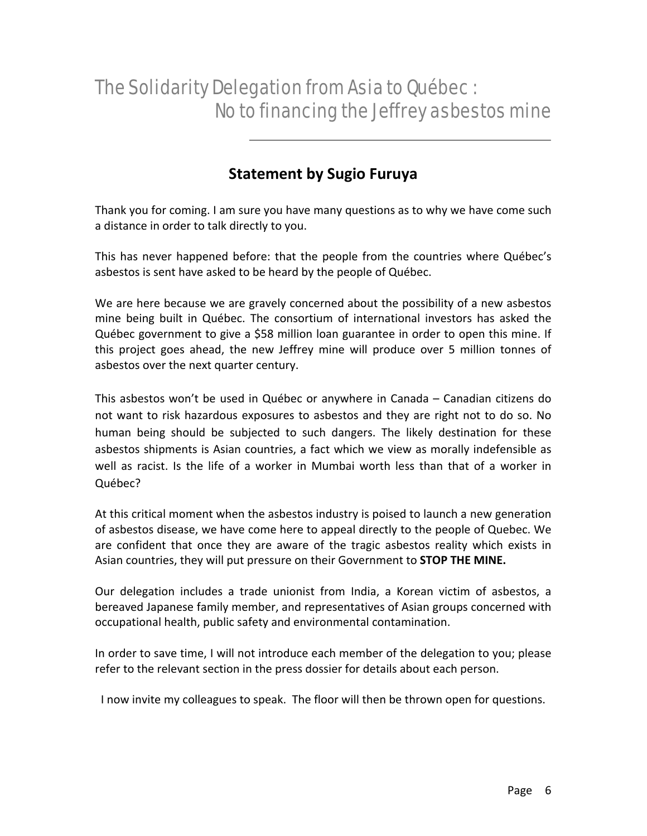### **Statement by Sugio Furuya**

Thank you for coming. I am sure you have many questions as to why we have come such a distance in order to talk directly to you.

This has never happened before: that the people from the countries where Québec's asbestos is sent have asked to be heard by the people of Québec.

We are here because we are gravely concerned about the possibility of a new asbestos mine being built in Québec. The consortium of international investors has asked the Québec government to give a \$58 million loan guarantee in order to open this mine. If this project goes ahead, the new Jeffrey mine will produce over 5 million tonnes of asbestos over the next quarter century.

This asbestos won't be used in Québec or anywhere in Canada – Canadian citizens do not want to risk hazardous exposures to asbestos and they are right not to do so. No human being should be subjected to such dangers. The likely destination for these asbestos shipments is Asian countries, a fact which we view as morally indefensible as well as racist. Is the life of a worker in Mumbai worth less than that of a worker in Québec?

At this critical moment when the asbestos industry is poised to launch a new generation of asbestos disease, we have come here to appeal directly to the people of Quebec. We are confident that once they are aware of the tragic asbestos reality which exists in Asian countries, they will put pressure on their Government to **STOP THE MINE.**

Our delegation includes a trade unionist from India, a Korean victim of asbestos, a bereaved Japanese family member, and representatives of Asian groups concerned with occupational health, public safety and environmental contamination.

In order to save time, I will not introduce each member of the delegation to you; please refer to the relevant section in the press dossier for details about each person.

I now invite my colleagues to speak. The floor will then be thrown open for questions.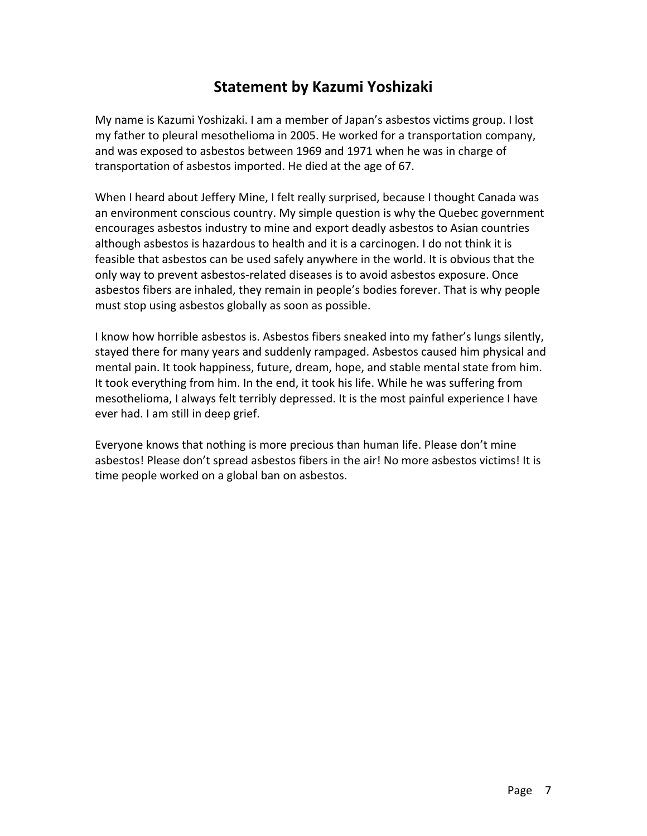### **Statement by Kazumi Yoshizaki**

My name is Kazumi Yoshizaki. I am a member of Japan's asbestos victims group. I lost my father to pleural mesothelioma in 2005. He worked for a transportation company, and was exposed to asbestos between 1969 and 1971 when he was in charge of transportation of asbestos imported. He died at the age of 67.

When I heard about Jeffery Mine, I felt really surprised, because I thought Canada was an environment conscious country. My simple question is why the Quebec government encourages asbestos industry to mine and export deadly asbestos to Asian countries although asbestos is hazardous to health and it is a carcinogen. I do not think it is feasible that asbestos can be used safely anywhere in the world. It is obvious that the only way to prevent asbestos‐related diseases is to avoid asbestos exposure. Once asbestos fibers are inhaled, they remain in people's bodies forever. That is why people must stop using asbestos globally as soon as possible.

I know how horrible asbestos is. Asbestos fibers sneaked into my father's lungs silently, stayed there for many years and suddenly rampaged. Asbestos caused him physical and mental pain. It took happiness, future, dream, hope, and stable mental state from him. It took everything from him. In the end, it took his life. While he was suffering from mesothelioma, I always felt terribly depressed. It is the most painful experience I have ever had. I am still in deep grief.

Everyone knows that nothing is more precious than human life. Please don't mine asbestos! Please don't spread asbestos fibers in the air! No more asbestos victims! It is time people worked on a global ban on asbestos.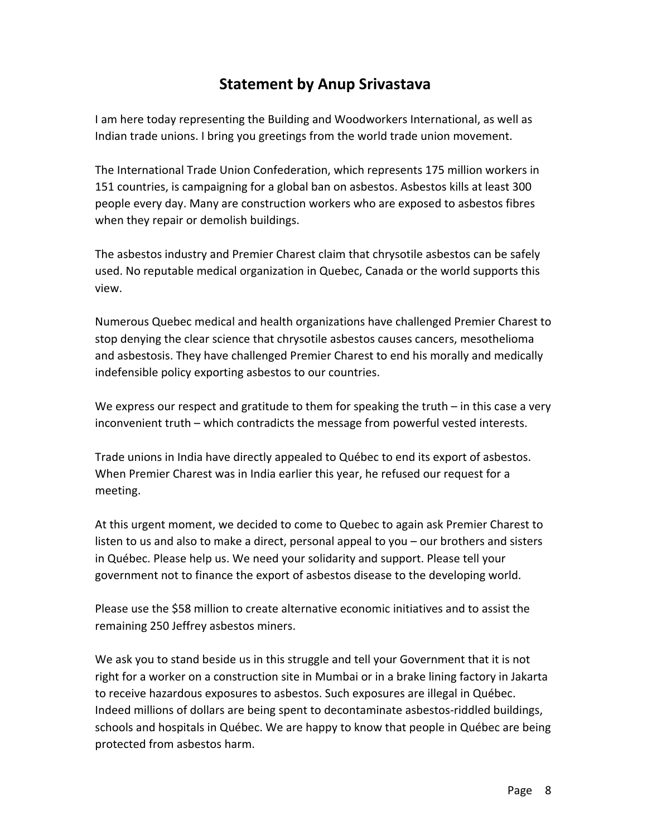### **Statement by Anup Srivastava**

I am here today representing the Building and Woodworkers International, as well as Indian trade unions. I bring you greetings from the world trade union movement.

The International Trade Union Confederation, which represents 175 million workers in 151 countries, is campaigning for a global ban on asbestos. Asbestos kills at least 300 people every day. Many are construction workers who are exposed to asbestos fibres when they repair or demolish buildings.

The asbestos industry and Premier Charest claim that chrysotile asbestos can be safely used. No reputable medical organization in Quebec, Canada or the world supports this view.

Numerous Quebec medical and health organizations have challenged Premier Charest to stop denying the clear science that chrysotile asbestos causes cancers, mesothelioma and asbestosis. They have challenged Premier Charest to end his morally and medically indefensible policy exporting asbestos to our countries.

We express our respect and gratitude to them for speaking the truth  $-$  in this case a very inconvenient truth – which contradicts the message from powerful vested interests.

Trade unions in India have directly appealed to Québec to end its export of asbestos. When Premier Charest was in India earlier this year, he refused our request for a meeting.

At this urgent moment, we decided to come to Quebec to again ask Premier Charest to listen to us and also to make a direct, personal appeal to you – our brothers and sisters in Québec. Please help us. We need your solidarity and support. Please tell your government not to finance the export of asbestos disease to the developing world.

Please use the \$58 million to create alternative economic initiatives and to assist the remaining 250 Jeffrey asbestos miners.

We ask you to stand beside us in this struggle and tell your Government that it is not right for a worker on a construction site in Mumbai or in a brake lining factory in Jakarta to receive hazardous exposures to asbestos. Such exposures are illegal in Québec. Indeed millions of dollars are being spent to decontaminate asbestos‐riddled buildings, schools and hospitals in Québec. We are happy to know that people in Québec are being protected from asbestos harm.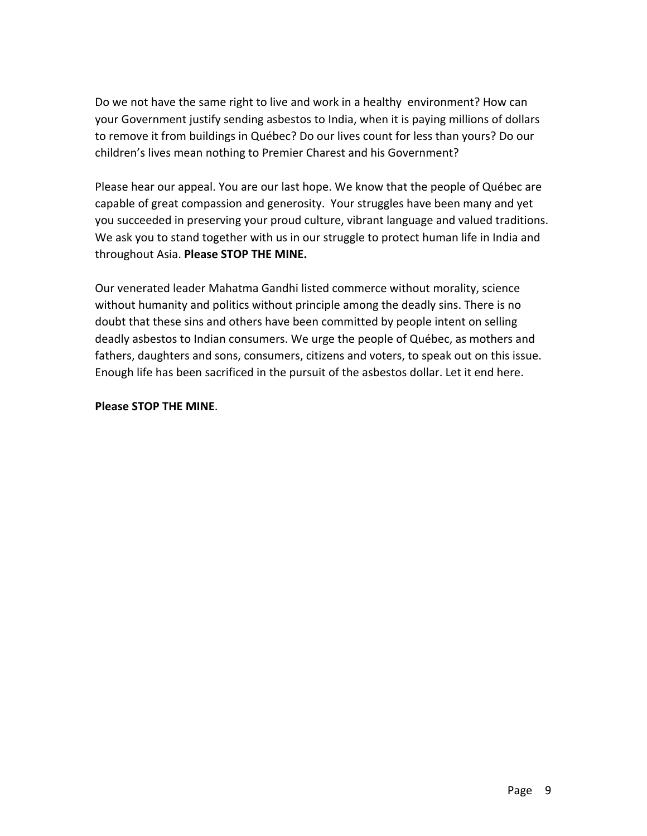Do we not have the same right to live and work in a healthy environment? How can your Government justify sending asbestos to India, when it is paying millions of dollars to remove it from buildings in Québec? Do our lives count for less than yours? Do our children's lives mean nothing to Premier Charest and his Government?

Please hear our appeal. You are our last hope. We know that the people of Québec are capable of great compassion and generosity. Your struggles have been many and yet you succeeded in preserving your proud culture, vibrant language and valued traditions. We ask you to stand together with us in our struggle to protect human life in India and throughout Asia. **Please STOP THE MINE.**

Our venerated leader Mahatma Gandhi listed commerce without morality, science without humanity and politics without principle among the deadly sins. There is no doubt that these sins and others have been committed by people intent on selling deadly asbestos to Indian consumers. We urge the people of Québec, as mothers and fathers, daughters and sons, consumers, citizens and voters, to speak out on this issue. Enough life has been sacrificed in the pursuit of the asbestos dollar. Let it end here.

### **Please STOP THE MINE**.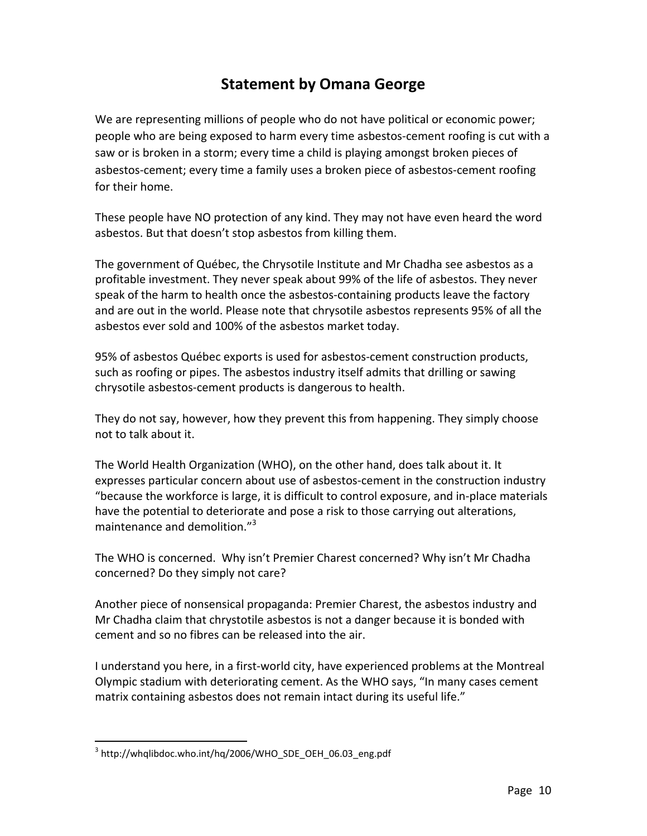### **Statement by Omana George**

We are representing millions of people who do not have political or economic power; people who are being exposed to harm every time asbestos‐cement roofing is cut with a saw or is broken in a storm; every time a child is playing amongst broken pieces of asbestos‐cement; every time a family uses a broken piece of asbestos‐cement roofing for their home.

These people have NO protection of any kind. They may not have even heard the word asbestos. But that doesn't stop asbestos from killing them.

The government of Québec, the Chrysotile Institute and Mr Chadha see asbestos as a profitable investment. They never speak about 99% of the life of asbestos. They never speak of the harm to health once the asbestos-containing products leave the factory and are out in the world. Please note that chrysotile asbestos represents 95% of all the asbestos ever sold and 100% of the asbestos market today.

95% of asbestos Québec exports is used for asbestos‐cement construction products, such as roofing or pipes. The asbestos industry itself admits that drilling or sawing chrysotile asbestos‐cement products is dangerous to health.

They do not say, however, how they prevent this from happening. They simply choose not to talk about it.

The World Health Organization (WHO), on the other hand, does talk about it. It expresses particular concern about use of asbestos‐cement in the construction industry "because the workforce is large, it is difficult to control exposure, and in‐place materials have the potential to deteriorate and pose a risk to those carrying out alterations, maintenance and demolition."<sup>3</sup>

The WHO is concerned. Why isn't Premier Charest concerned? Why isn't Mr Chadha concerned? Do they simply not care?

Another piece of nonsensical propaganda: Premier Charest, the asbestos industry and Mr Chadha claim that chrystotile asbestos is not a danger because it is bonded with cement and so no fibres can be released into the air.

I understand you here, in a first‐world city, have experienced problems at the Montreal Olympic stadium with deteriorating cement. As the WHO says, "In many cases cement matrix containing asbestos does not remain intact during its useful life."

 $\overline{a}$  $3$  http://whqlibdoc.who.int/hq/2006/WHO\_SDE\_OEH\_06.03\_eng.pdf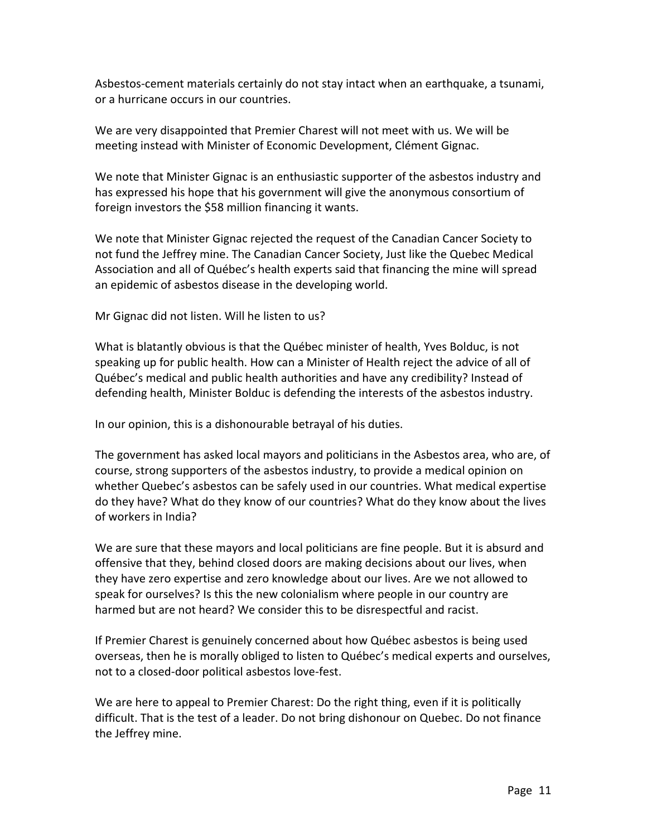Asbestos‐cement materials certainly do not stay intact when an earthquake, a tsunami, or a hurricane occurs in our countries.

We are very disappointed that Premier Charest will not meet with us. We will be meeting instead with Minister of Economic Development, Clément Gignac.

We note that Minister Gignac is an enthusiastic supporter of the asbestos industry and has expressed his hope that his government will give the anonymous consortium of foreign investors the \$58 million financing it wants.

We note that Minister Gignac rejected the request of the Canadian Cancer Society to not fund the Jeffrey mine. The Canadian Cancer Society, Just like the Quebec Medical Association and all of Québec's health experts said that financing the mine will spread an epidemic of asbestos disease in the developing world.

Mr Gignac did not listen. Will he listen to us?

What is blatantly obvious is that the Québec minister of health, Yves Bolduc, is not speaking up for public health. How can a Minister of Health reject the advice of all of Québec's medical and public health authorities and have any credibility? Instead of defending health, Minister Bolduc is defending the interests of the asbestos industry.

In our opinion, this is a dishonourable betrayal of his duties.

The government has asked local mayors and politicians in the Asbestos area, who are, of course, strong supporters of the asbestos industry, to provide a medical opinion on whether Quebec's asbestos can be safely used in our countries. What medical expertise do they have? What do they know of our countries? What do they know about the lives of workers in India?

We are sure that these mayors and local politicians are fine people. But it is absurd and offensive that they, behind closed doors are making decisions about our lives, when they have zero expertise and zero knowledge about our lives. Are we not allowed to speak for ourselves? Is this the new colonialism where people in our country are harmed but are not heard? We consider this to be disrespectful and racist.

If Premier Charest is genuinely concerned about how Québec asbestos is being used overseas, then he is morally obliged to listen to Québec's medical experts and ourselves, not to a closed‐door political asbestos love‐fest.

We are here to appeal to Premier Charest: Do the right thing, even if it is politically difficult. That is the test of a leader. Do not bring dishonour on Quebec. Do not finance the Jeffrey mine.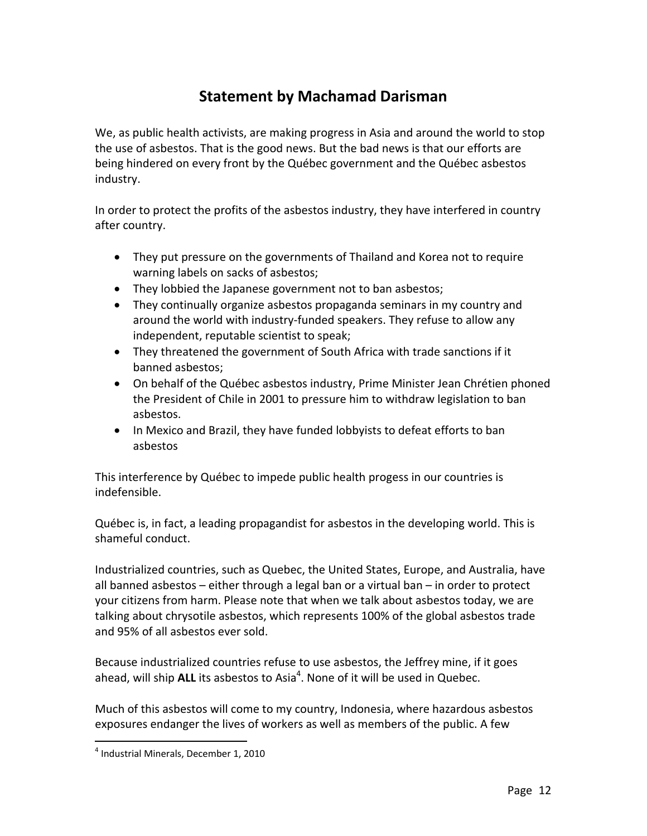### **Statement by Machamad Darisman**

We, as public health activists, are making progress in Asia and around the world to stop the use of asbestos. That is the good news. But the bad news is that our efforts are being hindered on every front by the Québec government and the Québec asbestos industry.

In order to protect the profits of the asbestos industry, they have interfered in country after country.

- They put pressure on the governments of Thailand and Korea not to require warning labels on sacks of asbestos;
- They lobbied the Japanese government not to ban asbestos;
- They continually organize asbestos propaganda seminars in my country and around the world with industry‐funded speakers. They refuse to allow any independent, reputable scientist to speak;
- They threatened the government of South Africa with trade sanctions if it banned asbestos;
- On behalf of the Québec asbestos industry, Prime Minister Jean Chrétien phoned the President of Chile in 2001 to pressure him to withdraw legislation to ban asbestos.
- In Mexico and Brazil, they have funded lobbyists to defeat efforts to ban asbestos

This interference by Québec to impede public health progess in our countries is indefensible.

Québec is, in fact, a leading propagandist for asbestos in the developing world. This is shameful conduct.

Industrialized countries, such as Quebec, the United States, Europe, and Australia, have all banned asbestos – either through a legal ban or a virtual ban – in order to protect your citizens from harm. Please note that when we talk about asbestos today, we are talking about chrysotile asbestos, which represents 100% of the global asbestos trade and 95% of all asbestos ever sold.

Because industrialized countries refuse to use asbestos, the Jeffrey mine, if it goes ahead, will ship ALL its asbestos to Asia<sup>4</sup>. None of it will be used in Quebec.

Much of this asbestos will come to my country, Indonesia, where hazardous asbestos exposures endanger the lives of workers as well as members of the public. A few

 $\overline{a}$ 

<sup>4</sup> Industrial Minerals, December 1, 2010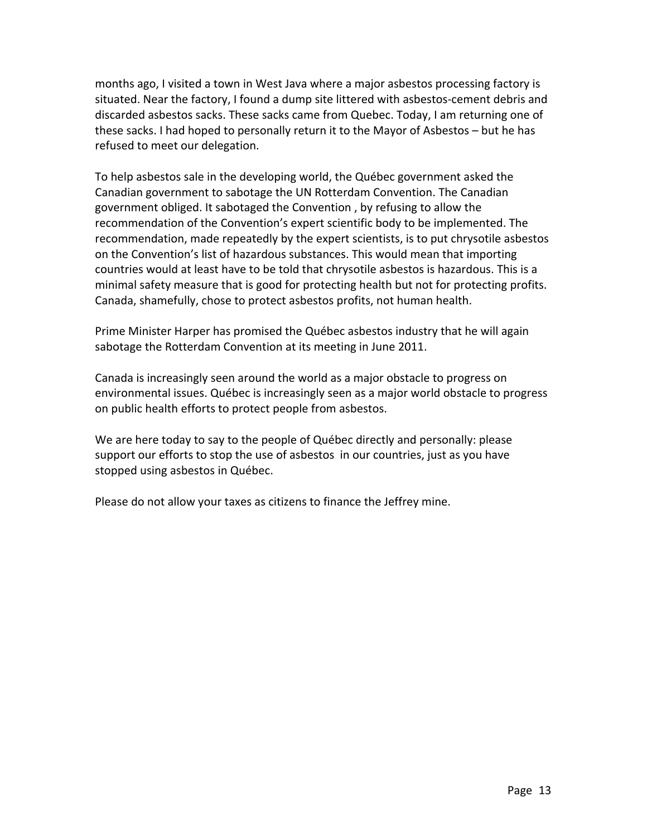months ago, I visited a town in West Java where a major asbestos processing factory is situated. Near the factory, I found a dump site littered with asbestos‐cement debris and discarded asbestos sacks. These sacks came from Quebec. Today, I am returning one of these sacks. I had hoped to personally return it to the Mayor of Asbestos – but he has refused to meet our delegation.

To help asbestos sale in the developing world, the Québec government asked the Canadian government to sabotage the UN Rotterdam Convention. The Canadian government obliged. It sabotaged the Convention , by refusing to allow the recommendation of the Convention's expert scientific body to be implemented. The recommendation, made repeatedly by the expert scientists, is to put chrysotile asbestos on the Convention's list of hazardous substances. This would mean that importing countries would at least have to be told that chrysotile asbestos is hazardous. This is a minimal safety measure that is good for protecting health but not for protecting profits. Canada, shamefully, chose to protect asbestos profits, not human health.

Prime Minister Harper has promised the Québec asbestos industry that he will again sabotage the Rotterdam Convention at its meeting in June 2011.

Canada is increasingly seen around the world as a major obstacle to progress on environmental issues. Québec is increasingly seen as a major world obstacle to progress on public health efforts to protect people from asbestos.

We are here today to say to the people of Québec directly and personally: please support our efforts to stop the use of asbestos in our countries, just as you have stopped using asbestos in Québec.

Please do not allow your taxes as citizens to finance the Jeffrey mine.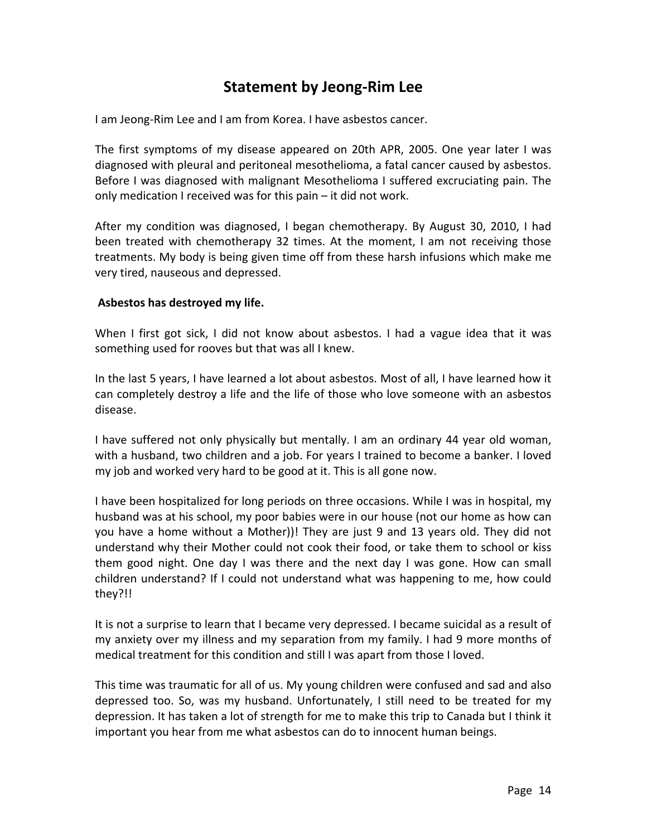### **Statement by Jeong‐Rim Lee**

I am Jeong‐Rim Lee and I am from Korea. I have asbestos cancer.

The first symptoms of my disease appeared on 20th APR, 2005. One year later I was diagnosed with pleural and peritoneal mesothelioma, a fatal cancer caused by asbestos. Before I was diagnosed with malignant Mesothelioma I suffered excruciating pain. The only medication I received was for this pain – it did not work.

After my condition was diagnosed, I began chemotherapy. By August 30, 2010, I had been treated with chemotherapy 32 times. At the moment, I am not receiving those treatments. My body is being given time off from these harsh infusions which make me very tired, nauseous and depressed.

#### **Asbestos has destroyed my life.**

When I first got sick, I did not know about asbestos. I had a vague idea that it was something used for rooves but that was all I knew.

In the last 5 years, I have learned a lot about asbestos. Most of all, I have learned how it can completely destroy a life and the life of those who love someone with an asbestos disease.

I have suffered not only physically but mentally. I am an ordinary 44 year old woman, with a husband, two children and a job. For years I trained to become a banker. I loved my job and worked very hard to be good at it. This is all gone now.

I have been hospitalized for long periods on three occasions. While I was in hospital, my husband was at his school, my poor babies were in our house (not our home as how can you have a home without a Mother))! They are just 9 and 13 years old. They did not understand why their Mother could not cook their food, or take them to school or kiss them good night. One day I was there and the next day I was gone. How can small children understand? If I could not understand what was happening to me, how could they?!!

It is not a surprise to learn that I became very depressed. I became suicidal as a result of my anxiety over my illness and my separation from my family. I had 9 more months of medical treatment for this condition and still I was apart from those I loved.

This time was traumatic for all of us. My young children were confused and sad and also depressed too. So, was my husband. Unfortunately, I still need to be treated for my depression. It has taken a lot of strength for me to make this trip to Canada but I think it important you hear from me what asbestos can do to innocent human beings.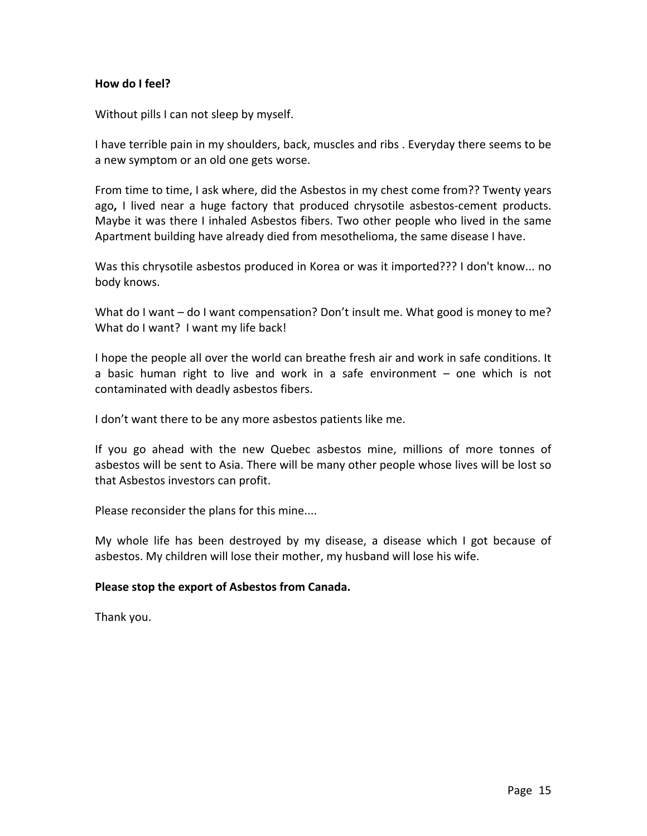### **How do I feel?**

Without pills I can not sleep by myself.

I have terrible pain in my shoulders, back, muscles and ribs . Everyday there seems to be a new symptom or an old one gets worse.

From time to time, I ask where, did the Asbestos in my chest come from?? Twenty years ago**,** I lived near a huge factory that produced chrysotile asbestos‐cement products. Maybe it was there I inhaled Asbestos fibers. Two other people who lived in the same Apartment building have already died from mesothelioma, the same disease I have.

Was this chrysotile asbestos produced in Korea or was it imported??? I don't know... no body knows.

What do I want – do I want compensation? Don't insult me. What good is money to me? What do I want? I want my life back!

I hope the people all over the world can breathe fresh air and work in safe conditions. It a basic human right to live and work in a safe environment – one which is not contaminated with deadly asbestos fibers.

I don't want there to be any more asbestos patients like me.

If you go ahead with the new Quebec asbestos mine, millions of more tonnes of asbestos will be sent to Asia. There will be many other people whose lives will be lost so that Asbestos investors can profit.

Please reconsider the plans for this mine....

My whole life has been destroyed by my disease, a disease which I got because of asbestos. My children will lose their mother, my husband will lose his wife.

### **Please stop the export of Asbestos from Canada.**

Thank you.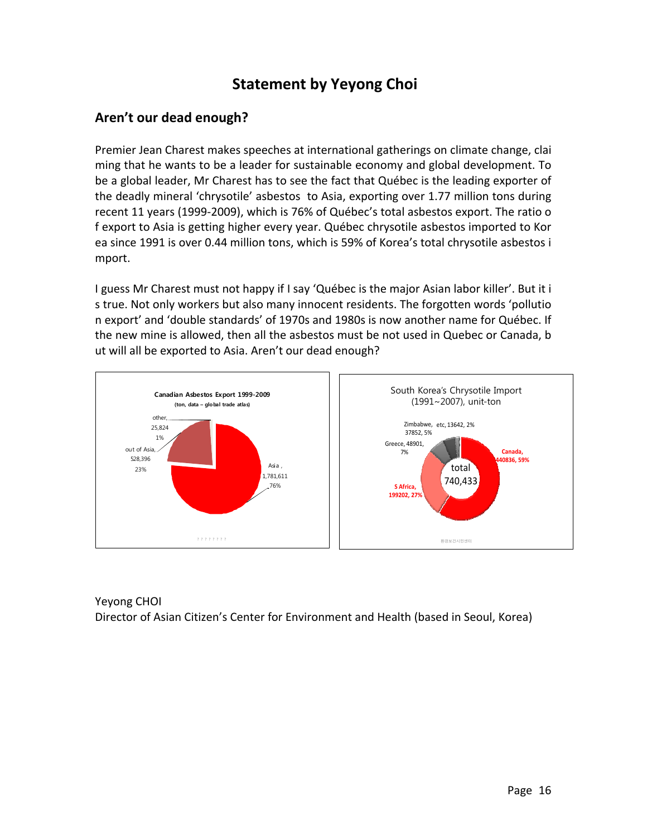### **Statement by Yeyong Choi**

### **Aren't our dead enough?**

Premier Jean Charest makes speeches at international gatherings on climate change, clai ming that he wants to be a leader for sustainable economy and global development. To be a global leader, Mr Charest has to see the fact that Québec is the leading exporter of the deadly mineral 'chrysotile' asbestos to Asia, exporting over 1.77 million tons during recent 11 years (1999‐2009), which is 76% of Québec's total asbestos export. The ratio o f export to Asia is getting higher every year. Québec chrysotile asbestos imported to Kor ea since 1991 is over 0.44 million tons, which is 59% of Korea's total chrysotile asbestos i mport.

I guess Mr Charest must not happy if I say 'Québec is the major Asian labor killer'. But it i s true. Not only workers but also many innocent residents. The forgotten words 'pollutio n export' and 'double standards' of 1970s and 1980s is now another name for Québec. If the new mine is allowed, then all the asbestos must be not used in Quebec or Canada, b ut will all be exported to Asia. Aren't our dead enough?



Yeyong CHOI Director of Asian Citizen's Center for Environment and Health (based in Seoul, Korea)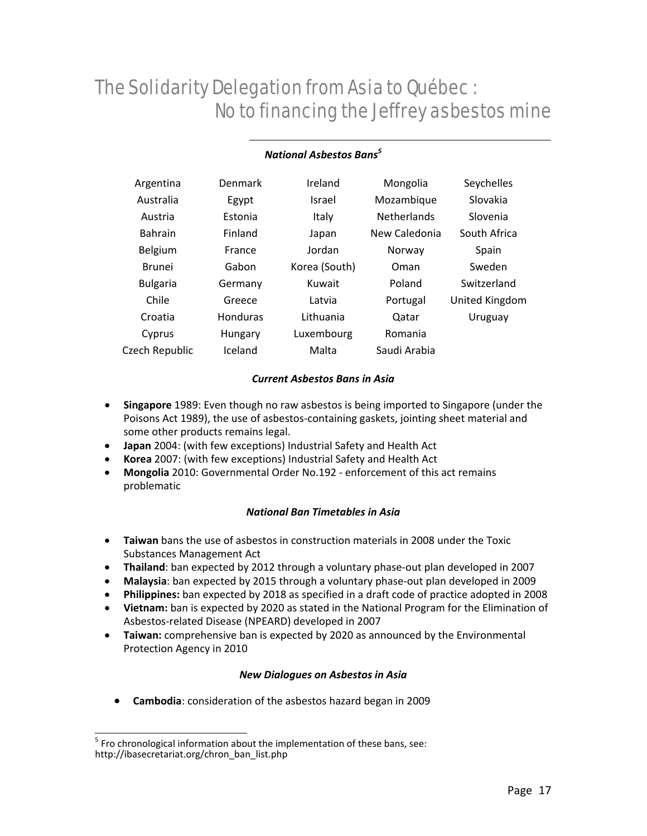#### *National Asbestos Bans<sup>5</sup>*

| Argentina       | Denmark        | Ireland       | Mongolia           | Seychelles     |
|-----------------|----------------|---------------|--------------------|----------------|
| Australia       | Egypt          | Israel        | Mozambique         | Slovakia       |
| Austria         | Estonia        | Italy         | <b>Netherlands</b> | Slovenia       |
| <b>Bahrain</b>  | Finland        | Japan         | New Caledonia      | South Africa   |
| Belgium         | France         | Jordan        | Norway             | Spain          |
| <b>Brunei</b>   | Gabon          | Korea (South) | Oman               | Sweden         |
| <b>Bulgaria</b> | Germany        | Kuwait        | Poland             | Switzerland    |
| Chile           | Greece         | Latvia        | Portugal           | United Kingdom |
| Croatia         | Honduras       | Lithuania     | Qatar              | Uruguay        |
| Cyprus          | <b>Hungary</b> | Luxembourg    | Romania            |                |
| Czech Republic  | Iceland        | Malta         | Saudi Arabia       |                |

#### *Current Asbestos Bans in Asia*

- **Singapore** 1989: Even though no raw asbestos is being imported to Singapore (under the Poisons Act 1989), the use of asbestos‐containing gaskets, jointing sheet material and some other products remains legal.
- **Japan** 2004: (with few exceptions) Industrial Safety and Health Act
- **Korea** 2007: (with few exceptions) Industrial Safety and Health Act
- **Mongolia** 2010: Governmental Order No.192 ‐ enforcement of this act remains problematic

#### *National Ban Timetables in Asia*

- **Taiwan** bans the use of asbestos in construction materials in 2008 under the Toxic Substances Management Act
- **Thailand**: ban expected by 2012 through a voluntary phase-out plan developed in 2007
- **Malaysia**: ban expected by 2015 through a voluntary phase‐out plan developed in 2009
- **Philippines:** ban expected by 2018 as specified in a draft code of practice adopted in 2008
- **Vietnam:** ban is expected by 2020 as stated in the National Program for the Elimination of Asbestos‐related Disease (NPEARD) developed in 2007
- **Taiwan:** comprehensive ban is expected by 2020 as announced by the Environmental Protection Agency in 2010

#### *New Dialogues on Asbestos in Asia*

**Cambodia**: consideration of the asbestos hazard began in 2009

 $\overline{a}$  $<sup>5</sup>$  Fro chronological information about the implementation of these bans, see:</sup> http://ibasecretariat.org/chron\_ban\_list.php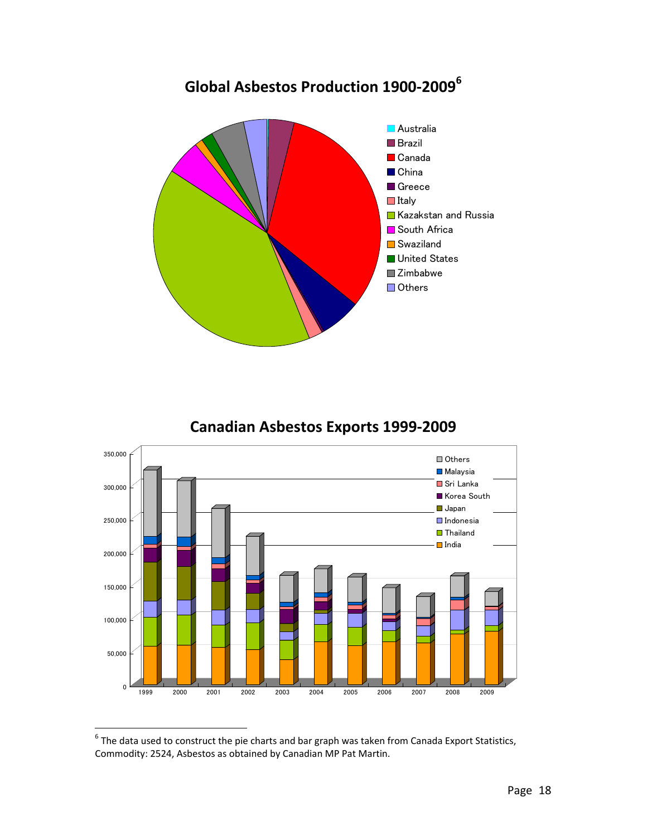

### **Canadian Asbestos Exports 1999‐2009**



 $^6$  The data used to construct the pie charts and bar graph was taken from Canada Export Statistics, Commodity: 2524, Asbestos as obtained by Canadian MP Pat Martin.

1